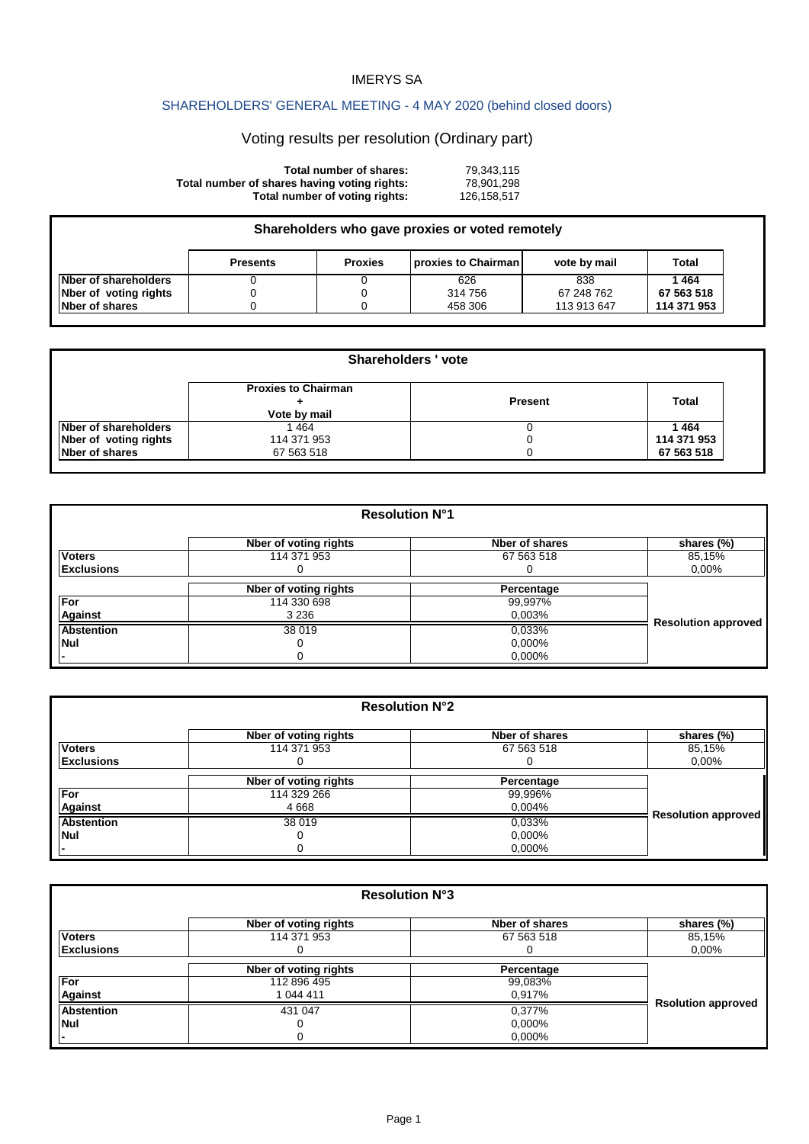## IMERYS SA

## SHAREHOLDERS' GENERAL MEETING - 4 MAY 2020 (behind closed doors)

## Voting results per resolution (Ordinary part)

| Total number of shares:                      | 79.343.115  |
|----------------------------------------------|-------------|
| Total number of shares having voting rights: | 78.901.298  |
| Total number of voting rights:               | 126.158.517 |

| Shareholders who gave proxies or voted remotely |                 |                |                     |              |             |
|-------------------------------------------------|-----------------|----------------|---------------------|--------------|-------------|
|                                                 | <b>Presents</b> | <b>Proxies</b> | proxies to Chairman | vote by mail | Total       |
| Nber of shareholders                            |                 |                | 626                 | 838          | 1464        |
| Nber of voting rights                           |                 |                | 314 756             | 67 248 762   | 67 563 518  |
| Nber of shares                                  |                 |                | 458 306             | 113 913 647  | 114 371 953 |

| <b>Shareholders 'vote</b> |                                            |                |             |
|---------------------------|--------------------------------------------|----------------|-------------|
|                           | <b>Proxies to Chairman</b><br>Vote by mail | <b>Present</b> | Total       |
| Nber of shareholders      | 464                                        |                | 1464        |
| Nber of voting rights     | 114 371 953                                | 0              | 114 371 953 |
| Nber of shares            | 67 563 518                                 | 0              | 67 563 518  |

| <b>Resolution N°1</b> |                       |                |                            |
|-----------------------|-----------------------|----------------|----------------------------|
|                       | Nber of voting rights | Nber of shares | shares (%)                 |
| <b>Voters</b>         | 114 371 953           | 67 563 518     | 85,15%                     |
| <b>Exclusions</b>     |                       |                | $0.00\%$                   |
|                       | Nber of voting rights | Percentage     |                            |
| For                   | 114 330 698           | 99,997%        |                            |
| <b>Against</b>        | 3 2 3 6               | 0,003%         |                            |
| Abstention            | 38 019                | 0.033%         | <b>Resolution approved</b> |
| Nul                   |                       | 0,000%         |                            |
|                       |                       | 0,000%         |                            |

| <b>Resolution N°2</b> |                       |                |                            |
|-----------------------|-----------------------|----------------|----------------------------|
|                       | Nber of voting rights | Nber of shares | shares (%)                 |
| <b>Voters</b>         | 114 371 953           | 67 563 518     | 85,15%                     |
| <b>Exclusions</b>     |                       |                | $0,00\%$                   |
|                       | Nber of voting rights | Percentage     |                            |
| For                   | 114 329 266           | 99,996%        |                            |
| <b>Against</b>        | 4 6 6 8               | 0,004%         |                            |
| <b>Abstention</b>     | 38 019                | 0.033%         | <b>Resolution approved</b> |
| Nul                   | Ω                     | 0,000%         |                            |
|                       | Ω                     | 0,000%         |                            |

| <b>Resolution N°3</b> |                       |                |                           |
|-----------------------|-----------------------|----------------|---------------------------|
|                       | Nber of voting rights | Nber of shares | shares (%)                |
| <b>Voters</b>         | 114 371 953           | 67 563 518     | 85,15%                    |
| <b>Exclusions</b>     |                       |                | $0,00\%$                  |
|                       | Nber of voting rights | Percentage     |                           |
| For                   | 112 896 495           | 99,083%        |                           |
| <b>Against</b>        | 1 044 411             | 0,917%         |                           |
| <b>Abstention</b>     | 431 047               | 0,377%         | <b>Rsolution approved</b> |
| Nul                   |                       | 0,000%         |                           |
|                       |                       | 0,000%         |                           |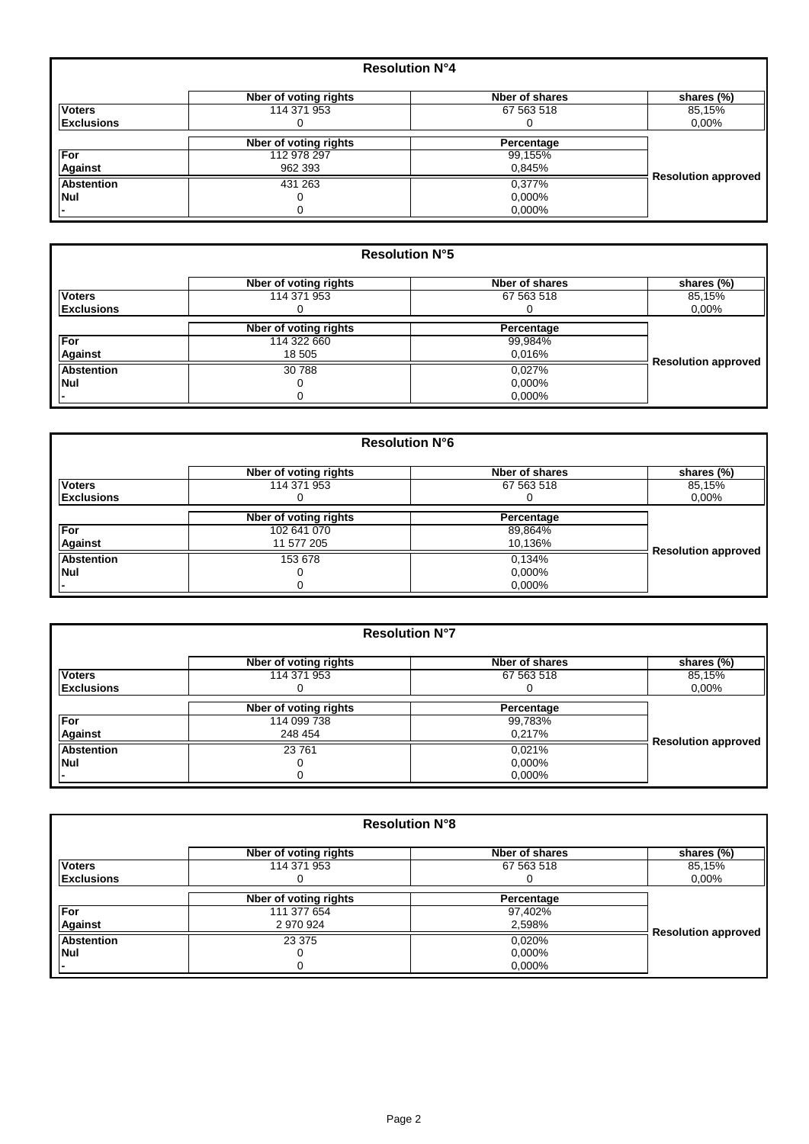|                   | <b>Resolution N°4</b> |                |                            |
|-------------------|-----------------------|----------------|----------------------------|
|                   | Nber of voting rights | Nber of shares | shares (%)                 |
| <b>Voters</b>     | 114 371 953           | 67 563 518     | 85,15%                     |
| <b>Exclusions</b> |                       |                | $0.00\%$                   |
|                   | Nber of voting rights | Percentage     |                            |
| <b>For</b>        | 112 978 297           | 99,155%        |                            |
| <b>Against</b>    | 962 393               | 0,845%         |                            |
| <b>Abstention</b> | 431 263               | 0,377%         | <b>Resolution approved</b> |
| <b>Nul</b>        |                       | 0.000%         |                            |
|                   |                       | 0.000%         |                            |

| <b>Resolution N°5</b> |                       |                |                            |
|-----------------------|-----------------------|----------------|----------------------------|
|                       | Nber of voting rights | Nber of shares | shares (%)                 |
| <b>Voters</b>         | 114 371 953           | 67 563 518     | 85,15%                     |
| <b>Exclusions</b>     |                       |                | $0.00\%$                   |
|                       | Nber of voting rights | Percentage     |                            |
| For                   | 114 322 660           | 99,984%        |                            |
| <b>Against</b>        | 18 505                | 0,016%         |                            |
| <b>Abstention</b>     | 30 788                | 0.027%         | <b>Resolution approved</b> |
| Nul                   |                       | 0.000%         |                            |
|                       | 0                     | 0.000%         |                            |

|                   | <b>Resolution N°6</b> |                |                            |  |
|-------------------|-----------------------|----------------|----------------------------|--|
|                   | Nber of voting rights | Nber of shares | shares (%)                 |  |
| <b>Voters</b>     | 114 371 953           | 67 563 518     | 85,15%                     |  |
| <b>Exclusions</b> |                       |                | $0.00\%$                   |  |
|                   | Nber of voting rights | Percentage     |                            |  |
| For               | 102 641 070           | 89,864%        |                            |  |
| <b>Against</b>    | 11 577 205            | 10,136%        |                            |  |
| <b>Abstention</b> | 153 678               | 0.134%         | <b>Resolution approved</b> |  |
| Nul               |                       | 0.000%         |                            |  |
|                   |                       | 0.000%         |                            |  |

| <b>Resolution N°7</b> |                       |                |                            |
|-----------------------|-----------------------|----------------|----------------------------|
|                       | Nber of voting rights | Nber of shares | shares (%)                 |
| <b>Voters</b>         | 114 371 953           | 67 563 518     | 85,15%                     |
| <b>Exclusions</b>     |                       |                | 0,00%                      |
|                       | Nber of voting rights | Percentage     |                            |
| For                   | 114 099 738           | 99,783%        |                            |
| <b>Against</b>        | 248 454               | 0,217%         |                            |
| <b>Abstention</b>     | 23761                 | 0.021%         | <b>Resolution approved</b> |
| Nul                   |                       | 0,000%         |                            |
|                       | 0                     | 0.000%         |                            |

| <b>Resolution N°8</b> |                       |                |                            |
|-----------------------|-----------------------|----------------|----------------------------|
|                       | Nber of voting rights | Nber of shares | shares (%)                 |
| <b>Voters</b>         | 114 371 953           | 67 563 518     | 85,15%                     |
| <b>Exclusions</b>     |                       |                | $0.00\%$                   |
|                       | Nber of voting rights | Percentage     |                            |
| For                   | 111 377 654           | 97,402%        |                            |
| Against               | 2 970 924             | 2,598%         |                            |
| <b>Abstention</b>     | 23 375                | 0.020%         | <b>Resolution approved</b> |
| Nul                   |                       | 0,000%         |                            |
|                       |                       | 0,000%         |                            |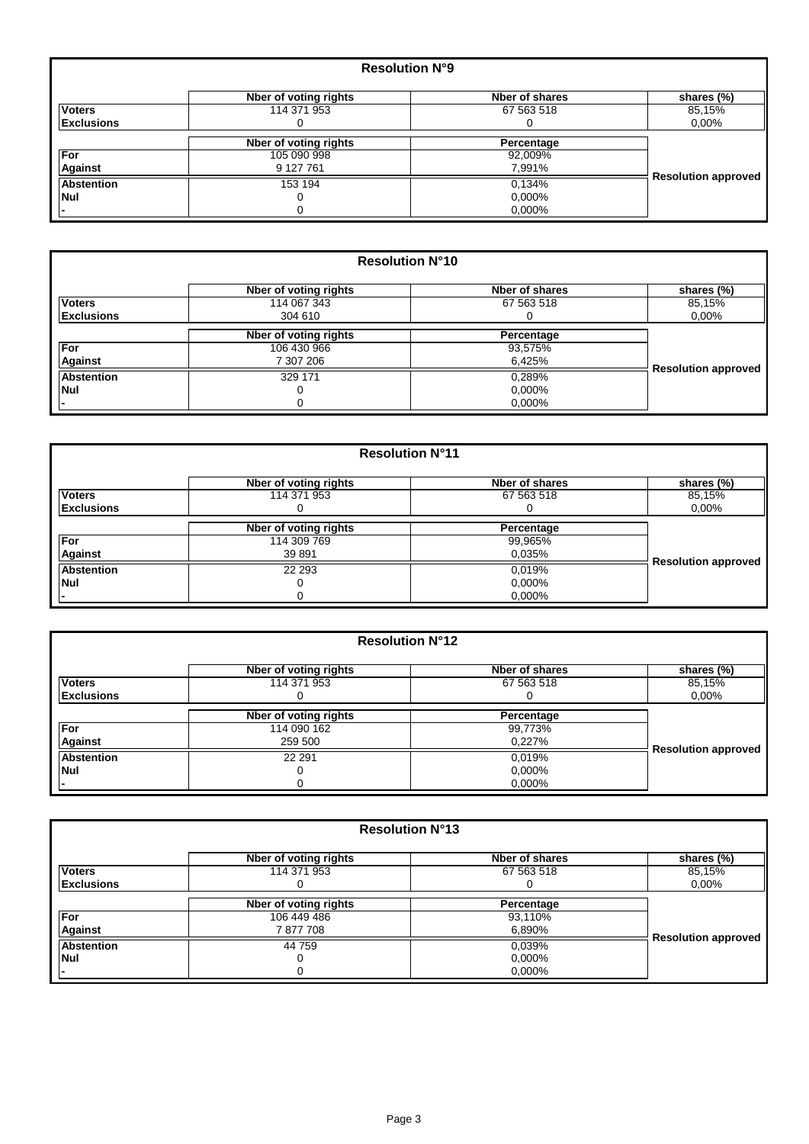| <b>Resolution N°9</b> |                       |                |                            |
|-----------------------|-----------------------|----------------|----------------------------|
|                       | Nber of voting rights | Nber of shares | shares (%)                 |
| <b>Voters</b>         | 114 371 953           | 67 563 518     | 85,15%                     |
| <b>Exclusions</b>     |                       | O              | $0.00\%$                   |
|                       | Nber of voting rights | Percentage     |                            |
| For                   | 105 090 998           | 92,009%        |                            |
| <b>Against</b>        | 9 127 761             | 7,991%         |                            |
| <b>Abstention</b>     | 153 194               | 0.134%         | <b>Resolution approved</b> |
| Nul                   |                       | 0,000%         |                            |
|                       |                       | 0,000%         |                            |

| <b>Resolution N°10</b> |                       |                |                            |
|------------------------|-----------------------|----------------|----------------------------|
|                        | Nber of voting rights | Nber of shares | shares (%)                 |
| <b>Voters</b>          | 114 067 343           | 67 563 518     | 85,15%                     |
| <b>Exclusions</b>      | 304 610               |                | $0.00\%$                   |
|                        | Nber of voting rights | Percentage     |                            |
| For                    | 106 430 966           | 93,575%        |                            |
| <b>Against</b>         | 7 307 206             | 6,425%         |                            |
| <b>Abstention</b>      | 329 171               | 0,289%         | <b>Resolution approved</b> |
| Nul                    |                       | 0,000%         |                            |
|                        |                       | 0,000%         |                            |

| <b>Resolution N°11</b> |                       |                |                            |
|------------------------|-----------------------|----------------|----------------------------|
|                        | Nber of voting rights | Nber of shares | shares (%)                 |
| <b>Voters</b>          | 114 371 953           | 67 563 518     | 85,15%                     |
| <b>Exclusions</b>      |                       |                | 0,00%                      |
|                        | Nber of voting rights | Percentage     |                            |
| For                    | 114 309 769           | 99,965%        |                            |
| <b>Against</b>         | 39 891                | 0.035%         |                            |
| <b>Abstention</b>      | 22 293                | 0.019%         | <b>Resolution approved</b> |
| Nul                    |                       | 0,000%         |                            |
|                        |                       | 0,000%         |                            |

| <b>Resolution N°12</b> |                       |                |                            |
|------------------------|-----------------------|----------------|----------------------------|
|                        | Nber of voting rights | Nber of shares | shares (%)                 |
| <b>Voters</b>          | 114 371 953           | 67 563 518     | 85,15%                     |
| <b>Exclusions</b>      |                       |                | $0,00\%$                   |
|                        | Nber of voting rights | Percentage     |                            |
| For                    | 114 090 162           | 99,773%        |                            |
| Against                | 259 500               | 0,227%         |                            |
| <b>Abstention</b>      | 22 291                | 0,019%         | <b>Resolution approved</b> |
| <b>Nul</b>             |                       | 0,000%         |                            |
|                        |                       | 0.000%         |                            |

| <b>Resolution N°13</b> |                       |                |                            |
|------------------------|-----------------------|----------------|----------------------------|
|                        | Nber of voting rights | Nber of shares | shares (%)                 |
| <b>Voters</b>          | 114 371 953           | 67 563 518     | 85,15%                     |
| <b>Exclusions</b>      | U                     |                | $0.00\%$                   |
|                        | Nber of voting rights | Percentage     |                            |
| For                    | 106 449 486           | 93,110%        |                            |
| <b>Against</b>         | 7877708               | 6,890%         |                            |
| <b>Abstention</b>      | 44 759                | 0.039%         | <b>Resolution approved</b> |
| Nul                    |                       | 0,000%         |                            |
|                        | 0                     | 0.000%         |                            |